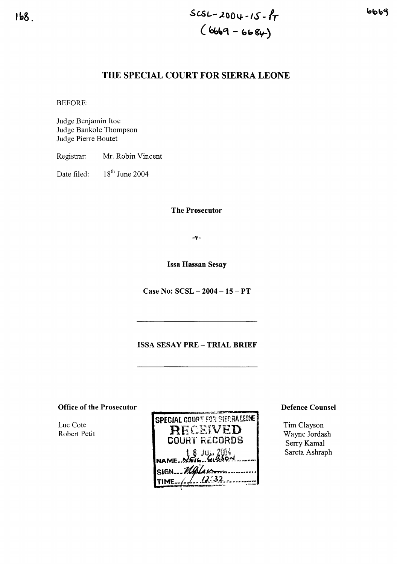# THE SPECIAL COURT FOR SIERRA LEONE

BEFORE:

Judge Benjamin Itoe Judge Bankole Thompson Judge Pierre Boutet

Registrar: Mr. Robin Vincent

Date filed: 18<sup>th</sup> June 2004

The Prosecutor

-v-

Issa Hassan Sesay

Case No: SCSL - 2004 - 15 - PT

## ISSA SESAY PRE - TRIAL BRIEF

 $\overline{\phantom{a}}$ 

Office of the Prosecutor

Luc Cote Robert Petit

| <b>SPECIAL COURT FOR SIERRALEONE</b> |
|--------------------------------------|
| <b>RECEIVED</b>                      |
| <b>COURT RECORDS</b>                 |
| NAME NEIL GUSON                      |
| SIGN __ Malan                        |
| $\frac{12.32}{ }$<br>IME $\angle$ /  |
|                                      |

Defence Counsel

Tim Clayson Wayne Jordash Serry Kamal Sareta Ashraph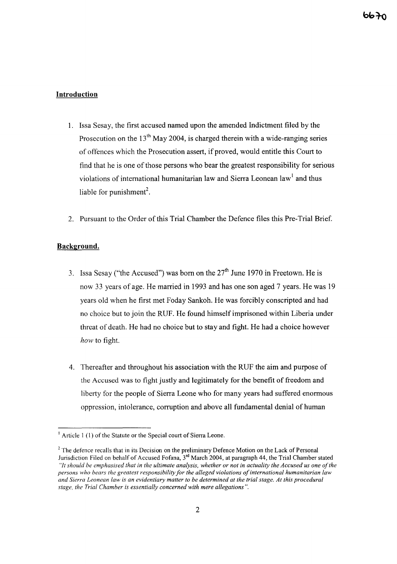# **Introduction**

- 1. Issa Sesay, the first accused named upon the amended Indictment filed by the Prosecution on the  $13<sup>th</sup>$  May 2004, is charged therein with a wide-ranging series of offences which the Prosecution assert, if proved, would entitle this Court to find that he is one of those persons who bear the greatest responsibility for serious violations of international humanitarian law and Sierra Leonean law<sup>1</sup> and thus liable for punishment<sup>2</sup>.
- 2. Pursuant to the Order of this Trial Chamber the Defence files this Pre-Trial Brief.

## **Background.**

- 3. Issa Sesay ("the Accused") was born on the  $27<sup>th</sup>$  June 1970 in Freetown. He is now 33 years of age. He married in 1993 and has one son aged 7 years. He was 19 years old when he first met Foday Sankoh. He was forcibly conscripted and had no choice but to join the RUF. He found himself imprisoned within Liberia under threat of death. He had no choice but to stay and fight. He had a choice however *how* to fight.
- 4. Thereafter and throughout his association with the RUF the aim and purpose of the Accused was to fight justly and legitimately for the benefit of freedom and liberty for the people of Sierra Leone who for many years had suffered enormous oppression, intolerance, corruption and above all fundamental denial of human

 $<sup>1</sup>$  Article 1 (1) of the Statute or the Special court of Sierra Leone.</sup>

<sup>&</sup>lt;sup>2</sup> The defence recalls that in its Decision on the preliminary Defence Motion on the Lack of Personal Jurisdiction Filed on behalf of Accused Fofana, 3<sup>rd</sup> March 2004, at paragraph 44, the Trial Chamber stated "It should be emphasised that in the ultimate analysis, whether or not in actuality the Accused us one of the *persons who bears the greatest responsibility for the alleged violations ofinternational humanitarian law* and Sierra Leonean law is an evidentiary matter to be determined at the trial stage. At this procedural *stage, the Trial Chamber is essentially concerned with mere allegations".*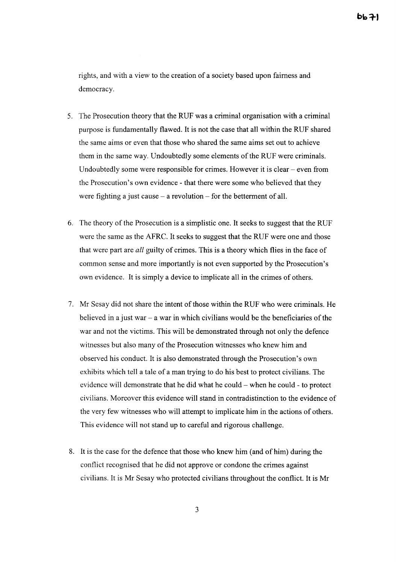rights, and with a view to the creation of a society based upon fairness and democracy.

- 5. The Prosecution theory that the RUF was a criminal organisation with a criminal purpose is fundamentally flawed. It is not the case that all within the RUF shared the same aims or even that those who shared the same aims set out to achieve them in the same way. Undoubtedly some elements of the RUF were criminals. Undoubtedly some were responsible for crimes. However it is clear  $-$  even from the Prosecution's own evidence - that there were some who believed that they were fighting a just cause  $-$  a revolution  $-$  for the betterment of all.
- 6. The theory of the Prosecution is a simplistic one. It seeks to suggest that the RUF were the same as the AFRC. It seeks to suggest that the RUF were one and those that were part are *all* guilty of crimes. This is a theory which flies in the face of common sense and more importantly is not even supported by the Prosecution's own evidence. It is simply a device to implicate all in the crimes of others.
- 7. Mr Sesay did not share the intent of those within the RUF who were criminals. He believed in a just war  $-$  a war in which civilians would be the beneficiaries of the war and not the victims. This will be demonstrated through not only the defence witnesses but also many of the Prosecution witnesses who knew him and observed his conduct. It is also demonstrated through the Prosecution's own exhibits which tell a tale of a man trying to do his best to protect civilians. The evidence will demonstrate that he did what he could - when he could - to protect civilians. Moreover this evidence will stand in contradistinction to the evidence of the very few witnesses who will attempt to implicate him in the actions of others. This evidence will not stand up to careful and rigorous challenge.
- 8. It is the case for the defence that those who knew him (and of him) during the conflict recognised that he did not approve or condone the crimes against civilians. It is Mr Sesay who protected civilians throughout the conflict. It is Mr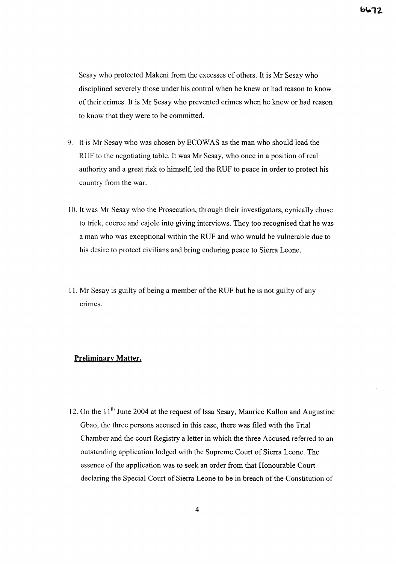Sesay who protected Makeni from the excesses of others. It is Mr Sesay who disciplined severely those under his control when he knew or had reason to know of their crimes. It is Mr Sesay who prevented crimes when he knew or had reason to know that they were to be committed.

- 9. It is Mr Sesay who was chosen by ECOWAS as the man who should lead the RUF to the negotiating table. It was Mr Sesay, who once in a position of real authority and a great risk to himself, led the RUF to peace in order to protect his country from the war.
- 10. It was Mr Sesay who the Prosecution, through their investigators, cynically chose to trick, coerce and cajole into giving interviews. They too recognised that he was a man who was exceptional within the RUF and who would be vulnerable due to his desire to protect civilians and bring enduring peace to Sierra Leone.
- 11. Mr Sesay is guilty of being a member of the RUF but he is not guilty of any crimes.

### **Preliminary Matter.**

12. On the  $11<sup>th</sup>$  June 2004 at the request of Issa Sesay, Maurice Kallon and Augustine Gbao, the three persons accused in this case, there was filed with the Trial Chamber and the court Registry a letter in which the three Accused referred to an outstanding application lodged with the Supreme Court of Sierra Leone. The essence of the application was to seek an order from that Honourable Court declaring the Special Court of Sierra Leone to be in breach of the Constitution of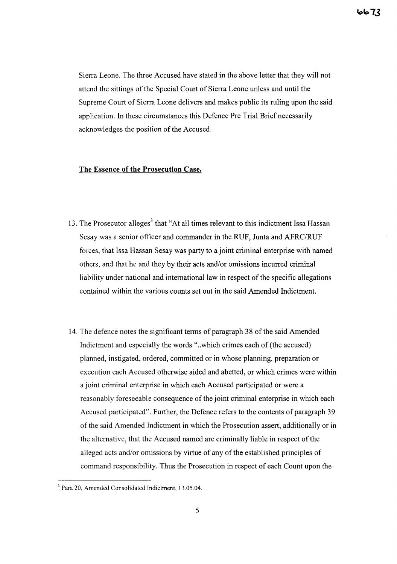7.3 ماما

Sierra Leone. The three Accused have stated in the above letter that they will not attend the sittings of the Special Court of Sierra Leone unless and until the Supreme Court of Sierra Leone delivers and makes public its ruling upon the said application. **In** these circumstances this Defence Pre Trial Brief necessarily acknowledges the position of the Accused.

#### **The Essence of the Prosecution Case.**

- 13. The Prosecutor alleges<sup>3</sup> that "At all times relevant to this indictment Issa Hassan Sesay was a senior officer and commander in the RUF, Junta and AFRC/RUF forces, that Issa Hassan Sesay was party to a joint criminal enterprise with named others, and that he and they by their acts and/or omissions incurred criminal liability under national and international law in respect of the specific allegations contained within the various counts set out in the said Amended Indictment.
- 14. The defence notes the significant terms of paragraph 38 of the said Amended Indictment and especially the words "..which crimes each of (the accused) planned, instigated, ordered, committed or in whose planning, preparation or execution each Accused otherwise aided and abetted, or which crimes were within a joint criminal enterprise in which each Accused participated or were a reasonably foreseeable consequence of the joint criminal enterprise in which each Accused participated". Further, the Defence refers to the contents of paragraph 39 of the said Amended Indictment in which the Prosecution assert, additionally or in the alternative, that the Accused named are criminally liable in respect of the alleged acts and/or omissions by virtue of any of the established principles of command responsibility. Thus the Prosecution in respect of each Count upon the

<sup>3</sup> Para 20, Amended Consolidated Indictment, 13.05.04.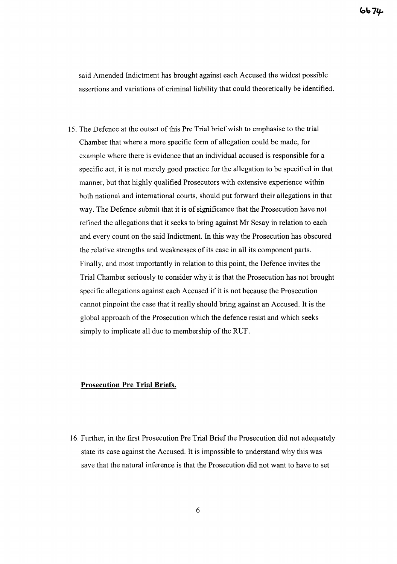said Amended Indictment has brought against each Accused the widest possible assertions and variations of criminal liability that could theoretically be identified.

15. The Defence at the outset of this Pre Trial brief wish to emphasise to the trial Chamber that where a more specific form of allegation could be made, for example where there is evidence that an individual accused is responsible for a specific act, it is not merely good practice for the allegation to be specified in that manner, but that highly qualified Prosecutors with extensive experience within both national and intemational courts, should put forward their allegations in that way. The Defence submit that it is of significance that the Prosecution have not refined the allegations that it seeks to bring against Mr Sesay in relation to each and every count on the said Indictment. **In** this way the Prosecution has obscured the relative strengths and weaknesses of its case in all its component parts. Finally, and most importantly in relation to this point, the Defence invites the Trial Chamber seriously to consider why it is that the Prosecution has not brought specific allegations against each Accused if it is not because the Prosecution cannot pinpoint the case that it really should bring against an Accused. It is the global approach of the Prosecution which the defence resist and which seeks simply to implicate all due to membership of the RUF.

## **Prosecution Pre Trial Briefs.**

16. Further, in the first Prosecution Pre Trial Brief the Prosecution did not adequately state its case against the Accused. It is impossible to understand why this was save that the natural inference is that the Prosecution did not want to have to set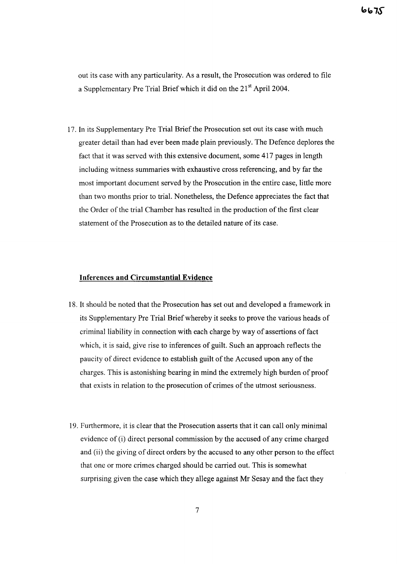out its case with any particularity. As a result, the Prosecution was ordered to file a Supplementary Pre Trial Brief which it did on the 21<sup>st</sup> April 2004.

17. In its Supplementary Pre Trial Briefthe Prosecution set out its case with much greater detail than had ever been made plain previously. The Defence deplores the fact that it was served with this extensive document, some 417 pages in length including witness summaries with exhaustive cross referencing, and by far the most important document served by the Prosecution in the entire case, little more than two months prior to trial. Nonetheless, the Defence appreciates the fact that the Order of the trial Chamber has resulted in the production of the first clear statement of the Prosecution as to the detailed nature of its case.

#### **Inferences and Circumstantial Evidence**

- 18. It should be noted that the Prosecution has set out and developed a framework in its Supplementary Pre Trial Brief whereby it seeks to prove the various heads of criminal liability in connection with each charge by way of assertions of fact which, it is said, give rise to inferences of guilt. Such an approach reflects the paucity of direct evidence to establish guilt of the Accused upon any of the charges. This is astonishing bearing in mind the extremely high burden of proof that exists in relation to the prosecution of crimes of the utmost seriousness.
- 19. Furthermore, it is clear that the Prosecution asserts that it can call only minimal evidence of (i) direct personal commission by the accused of any crime charged and (ii) the giving of direct orders by the accused to any other person to the effect that one or more crimes charged should be carried out. This is somewhat surprising given the case which they allege against Mr Sesay and the fact they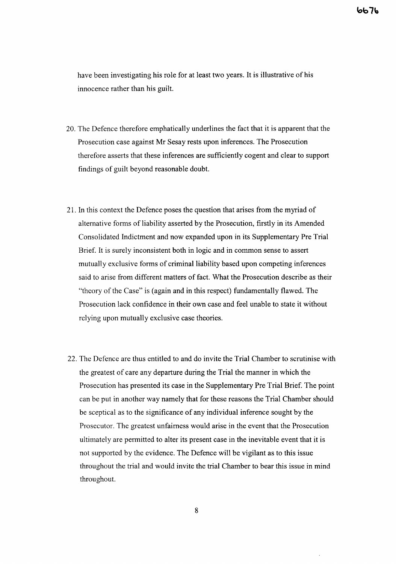have been investigating his role for at least two years. It is illustrative of his innocence rather than his guilt.

- 20. The Defence therefore emphatically underlines the fact that it is apparent that the Prosecution case against Mr Sesay rests upon inferences. The Prosecution therefore asserts that these inferences are sufficiently cogent and clear to support findings of guilt beyond reasonable doubt.
- 21. In this context the Defence poses the question that arises from the myriad of alternative forms of liability asserted by the Prosecution, firstly in its Amended Consolidated Indictment and now expanded upon in its Supplementary Pre Trial Brief. It is surely inconsistent both in logic and in common sense to assert mutually exclusive forms of criminal liability based upon competing inferences said to arise from different matters of fact. What the Prosecution describe as their "theory of the Case" is (again and in this respect) fundamentally flawed. The Prosecution lack confidence in their own case and feel unable to state it without relying upon mutually exclusive case theories.
- 22. The Defence are thus entitled to and do invite the Trial Chamber to scrutinise with the greatest of care any departure during the Trial the manner in which the Prosecution has presented its case in the Supplementary Pre Trial Brief. The point can be put in another way namely that for these reasons the Trial Chamber should be sceptical as to the significance of any individual inference sought by the Prosecutor. The greatest unfairness would arise in the event that the Prosecution ultimately are permitted to alter its present case in the inevitable event that it is not supported by the evidence. The Defence will be vigilant as to this issue throughout the trial and would invite the trial Chamber to bear this issue in mind throughout.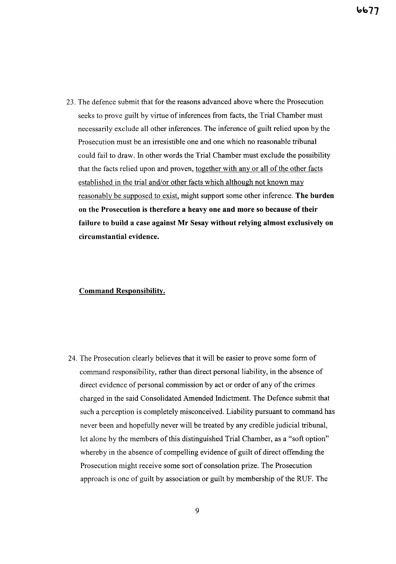23. The defence submit that for the reasons advanced above where the Prosecution seeks to prove guilt by virtue of inferences from facts, the Trial Chamber must necessarily exclude all other inferences. The inference of guilt relied upon by the Prosecution must be an irresistible one and one which no reasonable tribunal could fail to draw. In other words the Trial Chamber must exclude the possibility that the facts relied upon and proven, together with any or all of the other facts established in the trial and/or other facts which although not known may reasonably be supposed to exist, might support some other inference. The burden on the Prosecution is therefore a heavy one and more so because of their failure to build a case against Mr Sesay without relying almost exclusively on circumstantial evidence.

## Command Responsibility.

24. The Prosecution clearly believes that it will be easier to prove some form of command responsibility, rather than direct personal liability, in the absence of direct evidence of personal commission by act or order of any of the crimes charged in the said Consolidated Amended Indictment. The Defence submit that such a perception is completely misconceived. Liability pursuant to command has never been and hopefully never will be treated by any credible judicial tribunal, let alone by the members of this distinguished Trial Chamber, as a "soft option" whereby in the absence of compelling evidence of guilt of direct offending the Prosecution might receive some sort of consolation prize. The Prosecution approach is one of guilt by association or guilt by membership of the RUF. The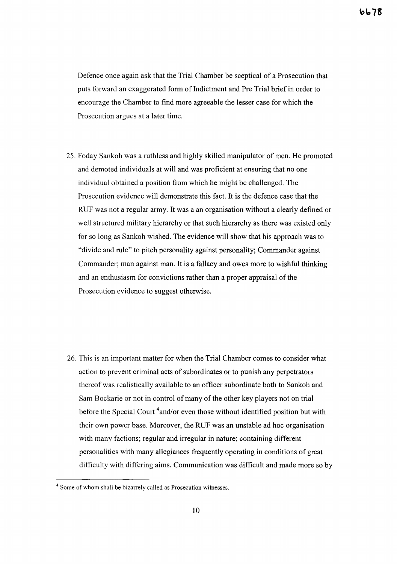Defence once again ask that the Trial Chamber be sceptical of a Prosecution that puts forward an exaggerated form of Indictment and Pre Trial brief in order to encourage the Chamber to find more agreeable the lesser case for which the Prosecution argues at a later time.

25. Foday Sankoh was a ruthless and highly skilled manipulator of men. He promoted and demoted individuals at will and was proficient at ensuring that no one individual obtained a position from which he might be challenged. The Prosecution evidence will demonstrate this fact. It is the defence case that the RUF was not a regular army. It was a an organisation without a clearly defined or well structured military hierarchy or that such hierarchy as there was existed only for so long as Sankoh wished. The evidence will show that his approach was to "divide and mle" to pitch personality against personality; Commander against Commander; man against man. It is a fallacy and owes more to wishful thinking and an enthusiasm for convictions rather than a proper appraisal of the Prosecution evidence to suggest otherwise.

26. This is an important matter for when the Trial Chamber comes to consider what action to prevent criminal acts of subordinates or to punish any perpetrators thereof was realistically available to an officer subordinate both to Sankoh and Sam Bockarie or not in control of many of the other key players not on trial before the Special Court  $4$  and/or even those without identified position but with their own power base. Moreover, the RUF was an unstable ad hoc organisation with many factions; regular and irregular in nature; containing different personalities with many allegiances frequently operating in conditions of great difficulty with differing aims. Communication was difficult and made more so by

<sup>4</sup> Some of whom shall be bizarrely called as Prosecution witnesses.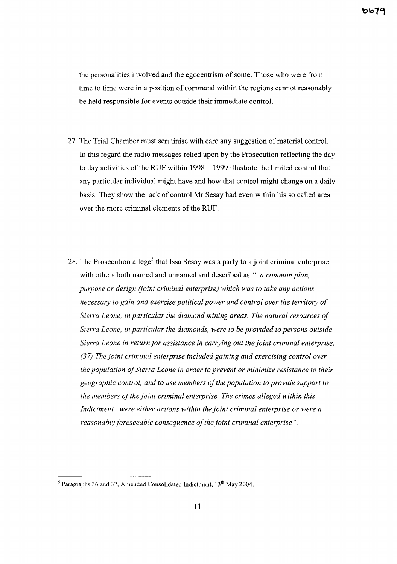the personalities involved and the egocentrism of some. Those who were from time to time were in a position of command within the regions cannot reasonably be held responsible for events outside their immediate control.

- 27. The Trial Chamber must scrutinise with care any suggestion of material control. In this regard the radio messages relied upon by the Prosecution reflecting the day to day activities of the RUF within  $1998 - 1999$  illustrate the limited control that any particular individual might have and how that control might change on a daily basis. They show the lack of control Mr Sesay had even within his so called area over the more criminal elements of the RUF.
- 28. The Prosecution allege<sup>5</sup> that Issa Sesay was a party to a joint criminal enterprise with others both named and unnamed and described as *"..a common plan, purpose or design* (*joint criminal enterprise*) *which was to take any actions necessary to gain and exercise political power and control over the territory of Sierra Leone, in particular the diamond mining areas. The natural resources of Sierra Leone, in particular the diamonds, were to be provided to persons outside Sierra Leone in return for assistance in carrying out the joint criminal enterprise. (37) The joint criminal enterprise included gaining and exercising control over the population ofSierra Leone in order to prevent or minimize resistance to their geographic control, and to use members ofthe population to provide support to the members ofthe joint criminal enterprise. The crimes alleged within this Indictment...were either actions within the joint criminal enterprise or were a reasonably foreseeable consequence of the joint criminal enterprise"*.

 $<sup>5</sup>$  Paragraphs 36 and 37, Amended Consolidated Indictment, 13<sup>th</sup> May 2004.</sup>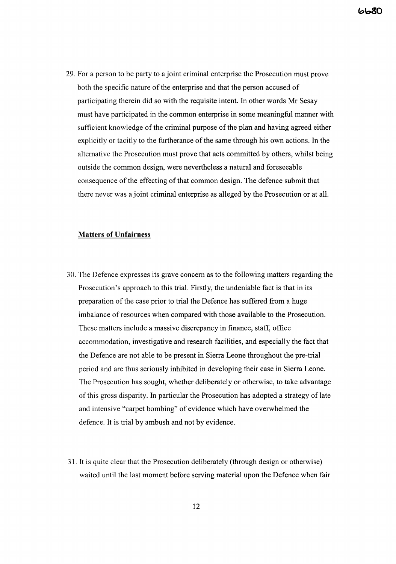29. For a person to be party to a joint criminal enterprise the Prosecution must prove both the specific nature of the enterprise and that the person accused of participating therein did so with the requisite intent. **In** other words Mr Sesay must have participated in the common enterprise in some meaningful manner with sufficient knowledge of the criminal purpose of the plan and having agreed either explicitly or tacitly to the furtherance of the same through his own actions. In the alternative the Prosecution must prove that acts committed by others, whilst being outside the common design, were nevertheless a natural and foreseeable consequence of the effecting of that common design. The defence submit that there never was a joint criminal enterprise as alleged by the Prosecution or at all.

### **Matters of Unfairness**

- 30. The Defence expresses its grave concern as to the following matters regarding the Prosecution's approach to this trial. Firstly, the undeniable fact is that in its preparation of the case prior to trial the Defence has suffered from a huge imbalance of resources when compared with those available to the Prosecution. These matters include a massive discrepancy in finance, staff, office accommodation, investigative and research facilities, and especially the fact that the Defence are not able to be present in Sierra Leone throughout the pre-trial period and are thus seriously inhibited in developing their case in Sierra Leone. The Prosecution has sought, whether deliberately or otherwise, to take advantage of this gross disparity. In particular the Prosecution has adopted a strategy of late and intensive "carpet bombing" of evidence which have overwhelmed the defence. It is trial by ambush and not by evidence.
- 31. It is quite clear that the Prosecution deliberately (through design or otherwise) waited until the last moment before serving material upon the Defence when fair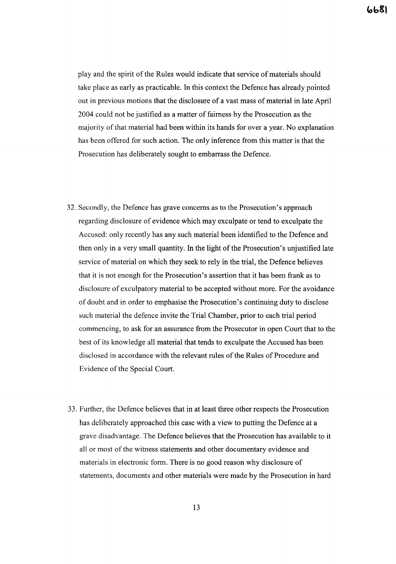play and the spirit of the Rules would indicate that service of materials should take place as early as practicable. In this context the Defence has already pointed out in previous motions that the disclosure of a vast mass of material in late April 2004 could not be justified as a matter of fairness by the Prosecution as the majority of that material had been within its hands for over a year. No explanation has been offered for such action. The only inference from this matter is that the Prosecution has deliberately sought to embarrass the Defence.

- 32. Secondly, the Defence has grave concerns as to the Prosecution's approach regarding disclosure of evidence which may exculpate or tend to exculpate the Accused: only recently has any such material been identified to the Defence and then only in a very small quantity. In the light of the Prosecution's unjustified late service of material on which they seek to rely in the trial, the Defence believes that it is not enough for the Prosecution's assertion that it has been frank as to disclosure of exculpatory material to be accepted without more. For the avoidance of doubt and in order to emphasise the Prosecution's continuing duty to disclose such material the defence invite the Trial Chamber, prior to each trial period commencing, to ask for an assurance from the Prosecutor in open Court that to the best of its knowledge all material that tends to exculpate the Accused has been disclosed in accordance with the relevant rules of the Rules of Procedure and Evidence of the Special Court.
- 33. Further, the Defence believes that in at least three other respects the Prosecution has deliberately approached this case with a view to putting the Defence at a grave disadvantage. The Defence believes that the Prosecution has available to it all or most of the witness statements and other documentary evidence and materials in electronic form. There is no good reason why disclosure of statements, documents and other materials were made by the Prosecution in hard

13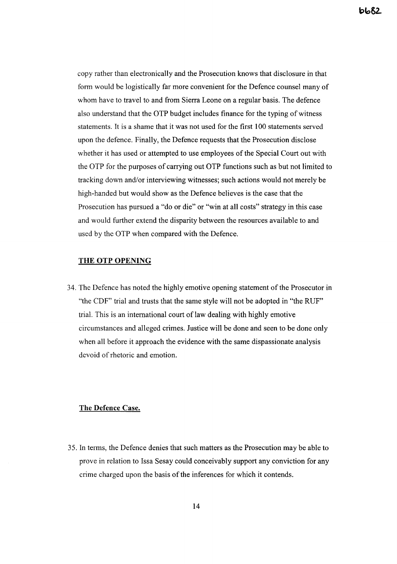copy rather than electronically and the Prosecution knows that disclosure in that form would be logistically far more convenient for the Defence counsel many of whom have to travel to and from Sierra Leone on a regular basis. The defence also understand that the OTP budget includes finance for the typing of witness statements. It is a shame that it was not used for the first 100 statements served upon the defence. Finally, the Defence requests that the Prosecution disclose whether it has used or attempted to use employees of the Special Court out with the OTP for the purposes of carrying out OTP functions such as but not limited to tracking down and/or interviewing witnesses; such actions would not merely be high-handed but would show as the Defence believes is the case that the Prosecution has pursued a "do or die" or "win at all costs" strategy in this case and would further extend the disparity between the resources available to and used by the OTP when compared with the Defence.

#### THE OTP OPENING

34. The Defence has noted the highly emotive opening statement of the Prosecutor in "the CDF" trial and trusts that the same style will not be adopted in "the RUF" trial. This is an international court of law dealing with highly emotive circumstances and alleged crimes. Justice will be done and seen to be done only when all before it approach the evidence with the same dispassionate analysis devoid of rhetoric and emotion.

#### The Defence Case.

35. In terms, the Defence denies that such matters as the Prosecution may be able to prove in relation to Issa Sesay could conceivably support any conviction for any crime charged upon the basis of the inferences for which it contends.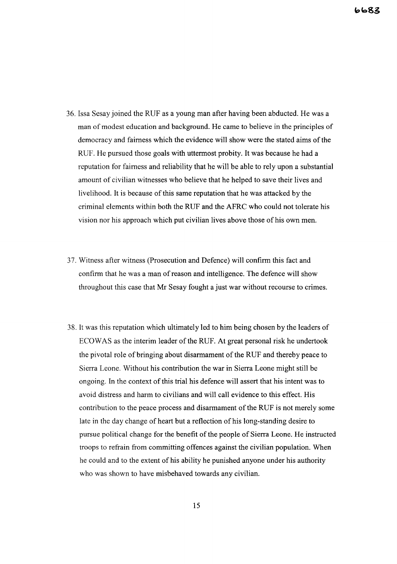- 36. Issa Sesay joined the RUF as a young man after having been abducted. He was a man of modest education and background. He came to believe in the principles of democracy and fairness which the evidence will show were the stated aims of the RUF. He pursued those goals with uttermost probity. It was because he had a reputation for fairness and reliability that he will be able to rely upon a substantial amount of civilian witnesses who believe that he helped to save their lives and livelihood. It is because of this same reputation that he was attacked by the criminal elements within both the RUF and the AFRC who could not tolerate his vision nor his approach which put civilian lives above those of his own men.
- 37. Witness after witness (Prosecution and Defence) will confirm this fact and confirm that he was a man of reason and intelligence. The defence will show throughout this case that Mr Sesay fought a just war without recourse to crimes.
- 38. It was this reputation which ultimately led to him being chosen by the leaders of ECOWAS as the interim leader of the RUF. At great personal risk he undertook the pivotal role of bringing about disarmament of the RUF and thereby peace to Sierra Leone. Without his contribution the war in Sierra Leone might still be ongoing. In the context of this trial his defence will assert that his intent was to avoid distress and harm to civilians and will call evidence to this effect. His contribution to the peace process and disarmament ofthe RUF is not merely some late in the day change of heart but a reflection of his long-standing desire to pursue political change for the benefit ofthe people of Sierra Leone. He instructed troops to refrain from committing offences against the civilian population. When he could and to the extent of his ability he punished anyone under his authority who was shown to have misbehaved towards any civilian.